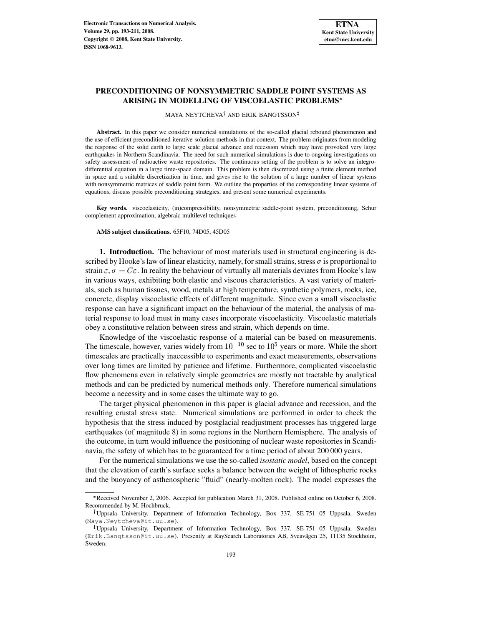# **PRECONDITIONING OF NONSYMMETRIC SADDLE POINT SYSTEMS AS ARISING IN MODELLING OF VISCOELASTIC PROBLEMS**

 $\,$ MAYA NEYTCHEVA $^\dagger$  and ERIK BÄNGTSSON

**Abstract.** In this paper we consider numerical simulations of the so-called glacial rebound phenomenon and the use of efficient preconditioned iterative solution methods in that context. The problem originates from modeling the response of the solid earth to large scale glacial advance and recession which may have provoked very large earthquakes in Northern Scandinavia. The need for such numerical simulations is due to ongoing investigations on safety assessment of radioactive waste repositories. The continuous setting of the problem is to solve an integrodifferential equation in a large time-space domain. This problem is then discretized using a finite element method in space and a suitable discretization in time, and gives rise to the solution of a large number of linear systems with nonsymmetric matrices of saddle point form. We outline the properties of the corresponding linear systems of equations, discuss possible preconditioning strategies, and present some numerical experiments.

**Key words.** viscoelasticity, (in)compressibility, nonsymmetric saddle-point system, preconditioning, Schur complement approximation, algebraic multilevel techniques

**AMS subject classifications.** 65F10, 74D05, 45D05

**1. Introduction.** The behaviour of most materials used in structural engineering is described by Hooke's law of linear elasticity, namely, for small strains, stress  $\sigma$  is proportional to strain  $\varepsilon$ ,  $\sigma = C\varepsilon$ . In reality the behaviour of virtually all materials deviates from Hooke's law in various ways, exhibiting both elastic and viscous characteristics. A vast variety of materials, such as human tissues, wood, metals at high temperature, synthetic polymers, rocks, ice, concrete, display viscoelastic effects of different magnitude. Since even a small viscoelastic response can have a significant impact on the behaviour of the material, the analysis of material response to load must in many cases incorporate viscoelasticity. Viscoelastic materials obey a constitutive relation between stress and strain, which depends on time.

Knowledge of the viscoelastic response of a material can be based on measurements. The timescale, however, varies widely from  $10^{-10}$  sec to  $10^5$  years or more. While the short timescales are practically inaccessible to experiments and exact measurements, observations over long times are limited by patience and lifetime. Furthermore, complicated viscoelastic flow phenomena even in relatively simple geometries are mostly not tractable by analytical methods and can be predicted by numerical methods only. Therefore numerical simulations become a necessity and in some cases the ultimate way to go.

The target physical phenomenon in this paper is glacial advance and recession, and the resulting crustal stress state. Numerical simulations are performed in order to check the hypothesis that the stress induced by postglacial readjustment processes has triggered large earthquakes (of magnitude 8) in some regions in the Northern Hemisphere. The analysis of the outcome, in turn would influence the positioning of nuclear waste repositories in Scandinavia, the safety of which has to be guaranteed for a time period of about 200 000 years.

For the numerical simulations we use the so-called *isostatic model*, based on the concept that the elevation of earth's surface seeks a balance between the weight of lithospheric rocks and the buoyancy of asthenospheric "fluid" (nearly-molten rock). The model expresses the

Received November 2, 2006. Accepted for publication March 31, 2008. Published online on October 6, 2008. Recommended by M. Hochbruck.

Uppsala University, Department of Information Technology, Box 337, SE-751 05 Uppsala, Sweden (Maya.Neytcheva@it.uu.se).

<sup>-</sup> Uppsala University, Department of Information Technology, Box 337, SE-751 05 Uppsala, Sweden (Erik.Bangtsson@it.uu.se). Presently at RaySearch Laboratories AB, Sveavägen 25, 11135 Stockholm, Sweden.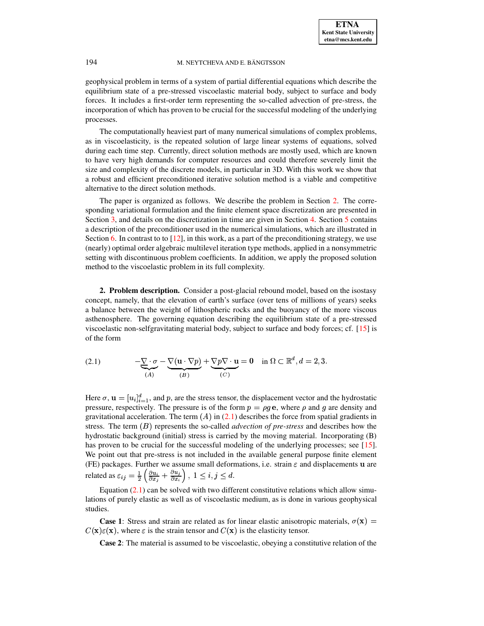geophysical problem in terms of a system of partial differential equations which describe the equilibrium state of a pre-stressed viscoelastic material body, subject to surface and body forces. It includes a first-order term representing the so-called advection of pre-stress, the incorporation of which has proven to be crucial for the successful modeling of the underlying processes.

The computationally heaviest part of many numerical simulations of complex problems, as in viscoelasticity, is the repeated solution of large linear systems of equations, solved during each time step. Currently, direct solution methods are mostly used, which are known to have very high demands for computer resources and could therefore severely limit the size and complexity of the discrete models, in particular in 3D. With this work we show that a robust and efficient preconditioned iterative solution method is a viable and competitive alternative to the direct solution methods.

The paper is organized as follows. We describe the problem in Section [2.](#page-1-0) The corresponding variational formulation and the finite element space discretization are presented in Section [3,](#page-2-0) and details on the discretization in time are given in Section [4.](#page-5-0) Section [5](#page-8-0) contains a description of the preconditioner used in the numerical simulations, which are illustrated in Section [6.](#page-11-0) In contrast to to  $[12]$ , in this work, as a part of the preconditioning strategy, we use (nearly) optimal order algebraic multilevel iteration type methods, applied in a nonsymmetric setting with discontinuous problem coefficients. In addition, we apply the proposed solution method to the viscoelastic problem in its full complexity.

<span id="page-1-0"></span>**2. Problem description.** Consider a post-glacial rebound model, based on the isostasy concept, namely, that the elevation of earth's surface (over tens of millions of years) seeks a balance between the weight of lithospheric rocks and the buoyancy of the more viscous asthenosphere. The governing equation describing the equilibrium state of a pre-stressed viscoelastic non-selfgravitating material body, subject to surface and body forces; cf. [\[15\]](#page-18-0) is of the form

<span id="page-1-1"></span>(2.1) 
$$
-\underbrace{\nabla \cdot \sigma}_{(A)} - \underbrace{\nabla (\mathbf{u} \cdot \nabla p)}_{(B)} + \underbrace{\nabla p \nabla \cdot \mathbf{u}}_{(C)} = 0 \quad \text{in } \Omega \subset \mathbb{R}^d, d = 2, 3.
$$

Here  $\sigma$ ,  $\mathbf{u} = [u_i]_{i=1}^d$ , and p, are the stress tensor, the displacement vector and the hydrostatic pressure, respectively. The pressure is of the form  $p = \rho g e$ , where  $\rho$  and g are density and gravitational acceleration. The term  $(A)$  in [\(2.1\)](#page-1-1) describes the force from spatial gradients in stress. The term  $(B)$  represents the so-called *advection of pre-stress* and describes how the hydrostatic background (initial) stress is carried by the moving material. Incorporating (B) has proven to be crucial for the successful modeling of the underlying processes; see [\[15\]](#page-18-0). We point out that pre-stress is not included in the available general purpose finite element (FE) packages. Further we assume small deformations, i.e. strain  $\varepsilon$  and displacements  $\bf{u}$  are related as  $\varepsilon_{ij} = \frac{1}{2} \left( \frac{\partial u_i}{\partial x_j} + \frac{\partial u_j}{\partial x_i} \right)$ ,  $1 \le i, j \le d$ 

Equation  $(2.1)$  can be solved with two different constitutive relations which allow simulations of purely elastic as well as of viscoelastic medium, as is done in various geophysical studies.

**Case** 1: Stress and strain are related as for linear elastic anisotropic materials,  $\sigma(\mathbf{x})$  =  $C(\mathbf{x})\varepsilon(\mathbf{x})$ , where  $\varepsilon$  is the strain tensor and  $C(\mathbf{x})$  is the elasticity tensor.

**Case 2**: The material is assumed to be viscoelastic, obeying a constitutive relation of the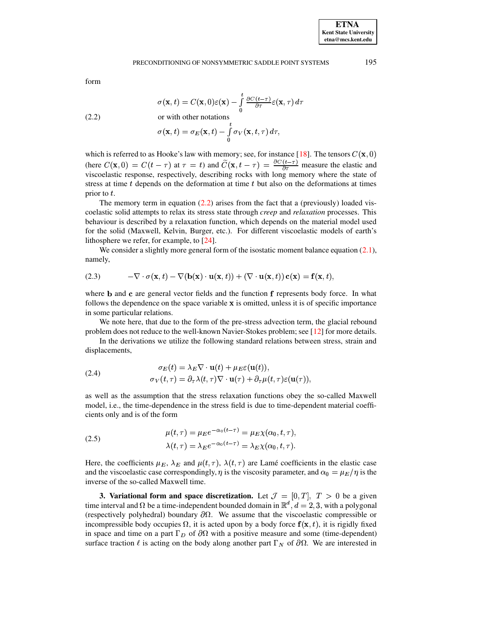<span id="page-2-1"></span>form

$$
\sigma({\bf x},t)=C({\bf x},0)\varepsilon({\bf x})-\int\limits_0^t\frac{\partial C(t-\tau)}{\partial\tau}\varepsilon({\bf x},\tau)\,d\tau
$$

(2.2) or with other notations

$$
\sigma(\mathbf{x},t)=\sigma_E(\mathbf{x},t)-\int\limits_0^t\sigma_V(\mathbf{x},t,\tau)\,d\tau,
$$

which is referred to as Hooke's law with memory; see, for instance [\[18\]](#page-18-1). The tensors  $C(\mathbf{x}, 0)$ (here  $C(\mathbf{x}, 0) = C(t - \tau)$  at  $\tau = t$ ) and  $\widetilde{C}(\mathbf{x}, t - \tau) = \frac{\partial C(t - \tau)}{\partial \tau}$  measure  $\frac{1}{2}$  measure the elastic and viscoelastic response, respectively, describing rocks with long memory where the state of stress at time t depends on the deformation at time t but also on the deformations at times prior to  $t$ .

The memory term in equation  $(2.2)$  arises from the fact that a (previously) loaded viscoelastic solid attempts to relax its stress state through *creep* and *relaxation* processes. This behaviour is described by a relaxation function, which depends on the material model used for the solid (Maxwell, Kelvin, Burger, etc.). For different viscoelastic models of earth's lithosphere we refer, for example, to [\[24\]](#page-18-2).

<span id="page-2-2"></span>We consider a slightly more general form of the isostatic moment balance equation  $(2.1)$ , namely,

(2.3) 
$$
-\nabla \cdot \sigma(\mathbf{x},t) - \nabla(\mathbf{b}(\mathbf{x}) \cdot \mathbf{u}(\mathbf{x},t)) + (\nabla \cdot \mathbf{u}(\mathbf{x},t)) \mathbf{c}(\mathbf{x}) = \mathbf{f}(\mathbf{x},t),
$$

where **b** and **c** are general vector fields and the function **f** represents body force. In what follows the dependence on the space variable  $x$  is omitted, unless it is of specific importance in some particular relations.

We note here, that due to the form of the pre-stress advection term, the glacial rebound problem does not reduce to the well-known Navier-Stokes problem; see [\[12\]](#page-17-0) for more details.

In the derivations we utilize the following standard relations between stress, strain and displacements,

(2.4) 
$$
\sigma_E(t) = \lambda_E \nabla \cdot \mathbf{u}(t) + \mu_E \varepsilon(\mathbf{u}(t)),
$$

$$
\sigma_V(t, \tau) = \partial_\tau \lambda(t, \tau) \nabla \cdot \mathbf{u}(\tau) + \partial_\tau \mu(t, \tau) \varepsilon(\mathbf{u}(\tau)),
$$

as well as the assumption that the stress relaxation functions obey the so-called Maxwell model, i.e., the time-dependence in the stress field is due to time-dependent material coefficients only and is of the form

%

<span id="page-2-3"></span>(2.5) 
$$
\mu(t,\tau) = \mu_E e^{-\alpha_0(t-\tau)} = \mu_E \chi(\alpha_0, t, \tau),
$$

$$
\lambda(t,\tau) = \lambda_E e^{-\alpha_0(t-\tau)} = \lambda_E \chi(\alpha_0, t, \tau).
$$

Here, the coefficients  $\mu_E, \lambda_E$  and  $\mu(t, \tau), \lambda(t, \tau)$  are Lamé coefficients in the elastic case and the viscoelastic case correspondingly,  $\eta$  is the viscosity parameter, and  $\alpha_0 = \mu_E/\eta$  is the inverse of the so-called Maxwell time.

<span id="page-2-0"></span>**3. Variational form and space discretization.** Let  $\mathcal{J} = [0, T]$ ,  $T > 0$  be a given time interval and  $\Omega$  be a time-independent bounded domain in  $\mathbb{R}^d$ ,  $d=2,3$ , with a polygonal (respectively polyhedral) boundary  $\partial\Omega$ . We assume that the viscoelastic compressible or incompressible body occupies  $\Omega$ , it is acted upon by a body force  $f(x, t)$ , it is rigidly fixed in space and time on a part  $\Gamma_D$  of  $\partial\Omega$  with a positive measure and some (time-dependent) surface traction  $\ell$  is acting on the body along another part  $\Gamma_N$  of  $\partial\Omega$ . We are interested in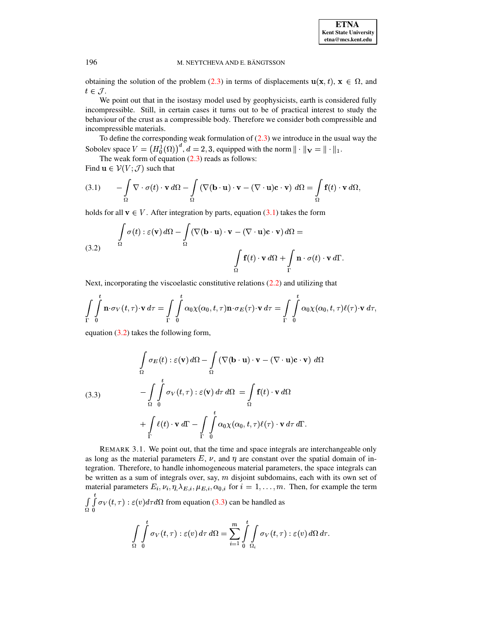

obtaining the solution of the problem [\(2.3\)](#page-2-2) in terms of displacements  $\mathbf{u}(\mathbf{x}, t)$ ,  $\mathbf{x} \in \Omega$ , and  $t \in \mathcal{J}$ .

We point out that in the isostasy model used by geophysicists, earth is considered fully incompressible. Still, in certain cases it turns out to be of practical interest to study the behaviour of the crust as a compressible body. Therefore we consider both compressible and incompressible materials.

To define the corresponding weak formulation of  $(2.3)$  we introduce in the usual way the Sobolev space  $V = (H_0^1(\Omega))^{\alpha}$ ,  $d = 2, 3$ , equipped with the norm  $\|\cdot\|_V = \|\cdot\|_1$ .

<span id="page-3-0"></span>The weak form of equation  $(2.3)$  reads as follows:

Find  $\mathbf{u} \in \mathcal{V}(V; \mathcal{J})$  such that

(3.1) 
$$
- \int_{\Omega} \nabla \cdot \sigma(t) \cdot \mathbf{v} d\Omega - \int_{\Omega} (\nabla (\mathbf{b} \cdot \mathbf{u}) \cdot \mathbf{v} - (\nabla \cdot \mathbf{u}) \mathbf{c} \cdot \mathbf{v}) d\Omega = \int_{\Omega} \mathbf{f}(t) \cdot \mathbf{v} d\Omega,
$$

holds for all  $\mathbf{v} \in V$ . After integration by parts, equation [\(3.1\)](#page-3-0) takes the form

<span id="page-3-1"></span>(3.2) 
$$
\int_{\Omega} \sigma(t) : \varepsilon(\mathbf{v}) d\Omega - \int_{\Omega} (\nabla(\mathbf{b} \cdot \mathbf{u}) \cdot \mathbf{v} - (\nabla \cdot \mathbf{u}) \mathbf{c} \cdot \mathbf{v}) d\Omega = \int_{\Omega} \mathbf{f}(t) \cdot \mathbf{v} d\Omega + \int_{\Gamma} \mathbf{n} \cdot \sigma(t) \cdot \mathbf{v} d\Gamma.
$$

Next, incorporating the viscoelastic constitutive relations [\(2.2\)](#page-2-1) and utilizing that

$$
\int_{\Gamma} \int_{0}^{t} \mathbf{n} \cdot \sigma_{V}(t, \tau) \cdot \mathbf{v} d\tau = \int_{\Gamma} \int_{0}^{t} \alpha_{0} \chi(\alpha_{0}, t, \tau) \mathbf{n} \cdot \sigma_{E}(\tau) \cdot \mathbf{v} d\tau = \int_{\Gamma} \int_{0}^{t} \alpha_{0} \chi(\alpha_{0}, t, \tau) \ell(\tau) \cdot \mathbf{v} d\tau,
$$

<span id="page-3-2"></span>equation [\(3.2\)](#page-3-1) takes the following form,

(3.3)  
\n
$$
\int_{\Omega} \sigma_E(t) : \varepsilon(\mathbf{v}) d\Omega - \int_{\Omega} (\nabla(\mathbf{b} \cdot \mathbf{u}) \cdot \mathbf{v} - (\nabla \cdot \mathbf{u}) \mathbf{c} \cdot \mathbf{v}) d\Omega
$$
\n
$$
- \int_{\Omega} \int_{0}^{t} \sigma_V(t, \tau) : \varepsilon(\mathbf{v}) d\tau d\Omega = \int_{\Omega} \mathbf{f}(t) \cdot \mathbf{v} d\Omega
$$
\n
$$
+ \int_{\Gamma} \ell(t) \cdot \mathbf{v} d\Gamma - \int_{\Gamma} \int_{0}^{t} \alpha_0 \chi(\alpha_0, t, \tau) \ell(\tau) \cdot \mathbf{v} d\tau d\Gamma.
$$

REMARK 3.1. We point out, that the time and space integrals are interchangeable only as long as the material parameters  $E$ ,  $\nu$ , and  $\eta$  are constant over the spatial domain of integration. Therefore, to handle inhomogeneous material parameters, the space integrals can be written as a sum of integrals over, say,  $m$  disjoint subdomains, each with its own set of material parameters  $E_i$ ,  $\nu_i$ ,  $\eta$ ,  $\lambda_{E,i}$ ,  $\mu_{E,i}$ ,  $\alpha_{0,i}$  for  $i = 1, ..., m$ . Then, for example the term <sup>z</sup>  $\int\int\int \sigma_V(t,\tau) : \varepsilon(v) d\tau d\Omega$  from equation [\(3.3\)](#page-3-2) can be handled as  $\Omega_0$ 

$$
\int_{\Omega} \int_{0}^{t} \sigma_V(t,\tau) : \varepsilon(v) d\tau d\Omega = \sum_{i=1}^{m} \int_{0}^{t} \int_{\Omega_i} \sigma_V(t,\tau) : \varepsilon(v) d\Omega d\tau.
$$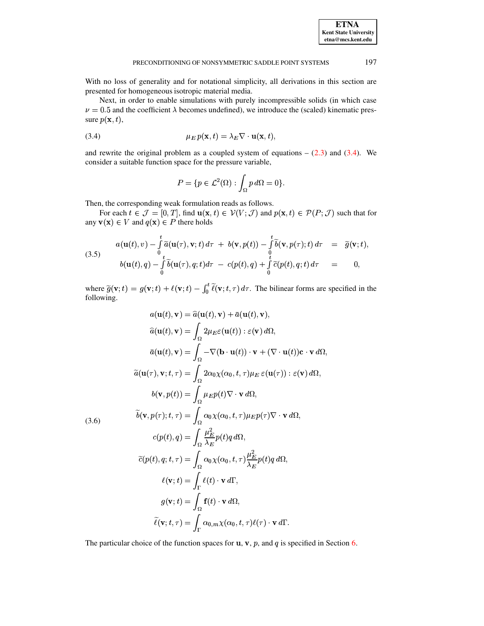With no loss of generality and for notational simplicity, all derivations in this section are presented for homogeneous isotropic material media.

<span id="page-4-0"></span>Next, in order to enable simulations with purely incompressible solids (in which case  $\nu = 0.5$  and the coefficient  $\lambda$  becomes undefined), we introduce the (scaled) kinematic pressure  $p(\mathbf{x}, t)$ ,

(3.4) 
$$
\mu_E p(\mathbf{x},t) = \lambda_E \nabla \cdot \mathbf{u}(\mathbf{x},t),
$$

and rewrite the original problem as a coupled system of equations  $- (2.3)$  and  $(3.4)$ . We consider a suitable function space for the pressure variable,

<span id="page-4-1"></span>
$$
P = \{ p \in \mathcal{L}^2(\Omega) : \int_{\Omega} p \, d\Omega = 0 \}.
$$

Then, the corresponding weak formulation reads as follows.

For each  $t \in \mathcal{J} = [0, T]$ , find  $\mathbf{u}(\mathbf{x}, t) \in \mathcal{V}(V; \mathcal{J})$  and  $p(\mathbf{x}, t) \in \mathcal{P}(P; \mathcal{J})$  such that for any  $\mathbf{v}(\mathbf{x}) \in V$  and  $q(\mathbf{x}) \in P$  there holds

(3.5) 
$$
a(\mathbf{u}(t), v) - \int_{0}^{t} \widetilde{a}(\mathbf{u}(\tau), \mathbf{v}; t) d\tau + b(\mathbf{v}, p(t)) - \int_{0}^{t} \widetilde{b}(\mathbf{v}, p(\tau); t) d\tau = \widetilde{g}(\mathbf{v}; t),
$$
  
\n
$$
b(\mathbf{u}(t), q) - \int_{0}^{t} \widetilde{b}(\mathbf{u}(\tau), q; t) d\tau - c(p(t), q) + \int_{0}^{t} \widetilde{c}(p(t), q; t) d\tau = 0,
$$

<span id="page-4-2"></span>where  $\tilde{g}(\mathbf{v};t) = g(\mathbf{v};t) + \ell(\mathbf{v};t) - \int_0^t \tilde{\ell}(\mathbf{v};t,\tau) d\tau$ . The bilinear forms are specified in the following.

$$
a(\mathbf{u}(t), \mathbf{v}) = \hat{a}(\mathbf{u}(t), \mathbf{v}) + \bar{a}(\mathbf{u}(t), \mathbf{v}),
$$
  
\n
$$
\hat{a}(\mathbf{u}(t), \mathbf{v}) = \int_{\Omega} 2\mu_E \varepsilon(\mathbf{u}(t)) : \varepsilon(\mathbf{v}) d\Omega,
$$
  
\n
$$
\bar{a}(\mathbf{u}(t), \mathbf{v}) = \int_{\Omega} -\nabla(\mathbf{b} \cdot \mathbf{u}(t)) \cdot \mathbf{v} + (\nabla \cdot \mathbf{u}(t)) \mathbf{c} \cdot \mathbf{v} d\Omega,
$$
  
\n
$$
\tilde{a}(\mathbf{u}(\tau), \mathbf{v}; t, \tau) = \int_{\Omega} 2\alpha_0 \chi(\alpha_0, t, \tau) \mu_E \varepsilon(\mathbf{u}(\tau)) : \varepsilon(\mathbf{v}) d\Omega,
$$
  
\n
$$
b(\mathbf{v}, p(t)) = \int_{\Omega} \mu_E p(t) \nabla \cdot \mathbf{v} d\Omega,
$$
  
\n(3.6)  
\n
$$
\tilde{b}(\mathbf{v}, p(\tau); t, \tau) = \int_{\Omega} \alpha_0 \chi(\alpha_0, t, \tau) \mu_E p(\tau) \nabla \cdot \mathbf{v} d\Omega,
$$
  
\n
$$
c(p(t), q) = \int_{\Omega} \frac{\mu_E^2}{\lambda_E} p(t) q d\Omega,
$$
  
\n
$$
\tilde{c}(p(t), q; t, \tau) = \int_{\Omega} \alpha_0 \chi(\alpha_0, t, \tau) \frac{\mu_E^2}{\lambda_E} p(t) q d\Omega,
$$
  
\n
$$
\ell(\mathbf{v}; t) = \int_{\Gamma} \ell(t) \cdot \mathbf{v} d\Gamma,
$$
  
\n
$$
g(\mathbf{v}; t) = \int_{\Gamma} \alpha_{0, m} \chi(\alpha_0, t, \tau) \ell(\tau) \cdot \mathbf{v} d\Gamma.
$$

The particular choice of the function spaces for  $\mathbf{u}, \mathbf{v}, p$ , and q is specified in Section 6.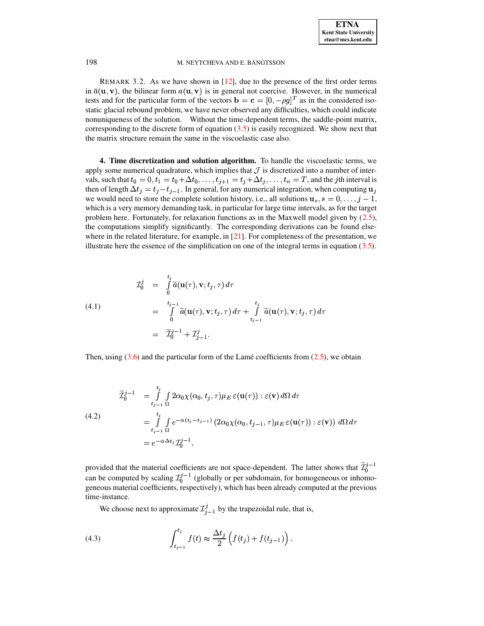REMARK 3.2. As we have shown in  $[12]$ , due to the presence of the first order terms in  $\bar{a}(\mathbf{u}, \mathbf{v})$ , the bilinear form  $a(\mathbf{u}, \mathbf{v})$  is in general not coercive. However, in the numerical tests and for the particular form of the vectors  $\mathbf{b} = \mathbf{c} = [0, -\rho g]^T$  as in the considered isostatic glacial rebound problem, we have never observed any difficulties, which could indicate nonuniqueness of the solution. Without the time-dependent terms, the saddle-point matrix, corresponding to the discrete form of equation  $(3.5)$  is easily recognized. We show next that the matrix structure remain the same in the viscoelastic case also.

<span id="page-5-0"></span>4. Time discretization and solution algorithm. To handle the viscoelastic terms, we apply some numerical quadrature, which implies that  $\mathcal J$  is discretized into a number of intervals, such that  $t_0 = 0, t_1 = t_0 + \Delta t_0, \dots, t_{j+1} = t_j + \Delta t_j, \dots, t_n = T$ , and the *j*th interval is then of length  $\Delta t_i = t_i - t_{i-1}$ . In general, for any numerical integration, when computing  $\mathbf{u}_i$ we would need to store the complete solution history, i.e., all solutions  $\mathbf{u}_s$ ,  $s = 0, \ldots, j - 1$ , which is a very memory demanding task, in particular for large time intervals, as for the target problem here. Fortunately, for relaxation functions as in the Maxwell model given by  $(2.5)$ , the computations simplify significantly. The corresponding derivations can be found elsewhere in the related literature, for example, in  $[21]$ . For completeness of the presentation, we illustrate here the essence of the simplification on one of the integral terms in equation  $(3.5)$ .

(4.1)  
\n
$$
\begin{array}{rcl}\n\mathcal{I}_0^j & = & \int_0^{t_j} \widetilde{a}(\mathbf{u}(\tau), \mathbf{v}; t_j, \tau) \, d\tau \\
& = & \int_0^{t_{j-1}} \widetilde{a}(\mathbf{u}(\tau), \mathbf{v}; t_j, \tau) \, d\tau + \int_{t_{j-1}}^{t_j} \widetilde{a}(\mathbf{u}(\tau), \mathbf{v}; t_j, \tau) \, d\tau \\
& = & \widetilde{\mathcal{I}}_0^{j-1} + \mathcal{I}_{j-1}^j.\n\end{array}
$$

Then, using  $(3.6)$  and the particular form of the Lamé coefficients from  $(2.5)$ , we obtain

(4.2)  
\n
$$
\widetilde{\mathcal{I}}_0^{j-1} = \int_{t_{j-1}}^{t_j} \int_{\Omega} 2\alpha_0 \chi(\alpha_0, t_j, \tau) \mu_E \, \varepsilon(\mathbf{u}(\tau)) : \varepsilon(\mathbf{v}) \, d\Omega \, d\tau
$$
\n
$$
= \int_{t_{j-1}}^{t_j} \int_{\Omega} e^{-\alpha(t_j - t_{j-1})} \left( 2\alpha_0 \chi(\alpha_0, t_{j-1}, \tau) \mu_E \, \varepsilon(\mathbf{u}(\tau)) : \varepsilon(\mathbf{v}) \right) \, d\Omega \, d\tau
$$
\n
$$
= e^{-\alpha \Delta t_j} \mathcal{I}_0^{j-1},
$$

provided that the material coefficients are not space-dependent. The latter shows that  $\widetilde{\mathcal{I}}_0^{j-1}$ can be computed by scaling  $\mathcal{I}_0^{j-1}$  (globally or per subdomain, for homogeneous or inhomogeneous material coefficients, respectively), which has been already computed at the previous time-instance.

We choose next to approximate  $\mathcal{I}_{i-1}^j$  by the trapezoidal rule, that is,

(4.3) 
$$
\int_{t_{j-1}}^{t_j} f(t) \approx \frac{\Delta t_j}{2} \left( f(t_j) + f(t_{j-1}) \right).
$$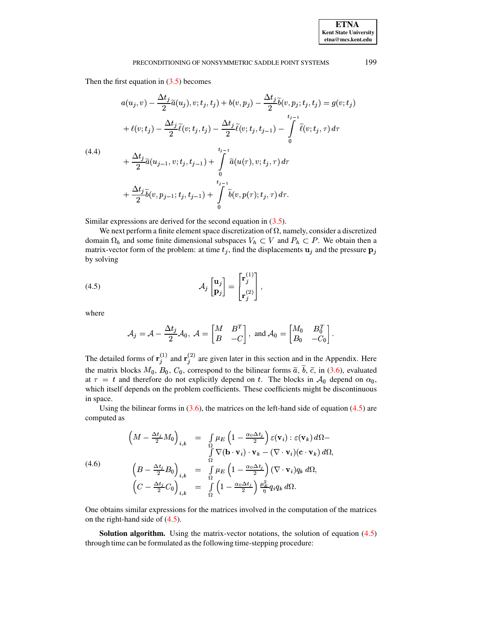Then the first equation in  $(3.5)$  becomes

$$
a(u_j, v) - \frac{\Delta t_j}{2} \tilde{a}(u_j), v; t_j, t_j) + b(v, p_j) - \frac{\Delta t_j}{2} \tilde{b}(v, p_j; t_j, t_j) = g(v; t_j)
$$
  
+ 
$$
\ell(v; t_j) - \frac{\Delta t_j}{2} \tilde{\ell}(v; t_j, t_j) - \frac{\Delta t_j}{2} \tilde{\ell}(v; t_j, t_{j-1}) - \int_0^{t_{j-1}} \tilde{\ell}(v; t_j, \tau) d\tau
$$
  
(4.4)  
+ 
$$
\frac{\Delta t_j}{2} \tilde{a}(u_{j-1}, v; t_j, t_{j-1}) + \int_0^{t_{j-1}} \tilde{a}(u(\tau), v; t_j, \tau) d\tau
$$
  
+ 
$$
\frac{\Delta t_j}{2} \tilde{b}(v, p_{j-1}; t_j, t_{j-1}) + \int_0^{t_{j-1}} \tilde{b}(v, p(\tau); t_j, \tau) d\tau.
$$

Similar expressions are derived for the second equation in  $(3.5)$ .

We next perform a finite element space discretization of  $\Omega$ , namely, consider a discretized domain  $\Omega_h$  and some finite dimensional subspaces  $V_h \subset V$  and  $P_h \subset P$ . We obtain then a matrix-vector form of the problem: at time  $t_j$ , find the displacements  $\mathbf{u}_j$  and the pressure  $\mathbf{p}_j$ by solving

<span id="page-6-0"></span>(4.5) 
$$
\mathcal{A}_{j}\begin{bmatrix} \mathbf{u}_{j} \\ \mathbf{p}_{j} \end{bmatrix} = \begin{bmatrix} \mathbf{r}_{j}^{(1)} \\ \mathbf{r}_{j}^{(2)} \end{bmatrix}
$$

where

$$
A_j = A - \frac{\Delta t_j}{2} A_0, \ A = \begin{bmatrix} M & B^T \\ B & -C \end{bmatrix}, \text{ and } A_0 = \begin{bmatrix} M_0 & B_0^T \\ B_0 & -C_0 \end{bmatrix}.
$$

The detailed forms of  $\mathbf{r}_j^{(1)}$  and  $\mathbf{r}_j^{(2)}$  are given later in this section and in the Appendix. Here the matrix blocks  $M_0$ ,  $B_0$ ,  $C_0$ , correspond to the bilinear forms  $\tilde{a}$ ,  $\tilde{b}$ ,  $\tilde{c}$ , in (3.6), evaluated at  $\tau = t$  and therefore do not explicitly depend on t. The blocks in  $A_0$  depend on  $\alpha_0$ , which itself depends on the problem coefficients. These coefficients might be discontinuous in space.

Using the bilinear forms in  $(3.6)$ , the matrices on the left-hand side of equation  $(4.5)$  are computed as

$$
(4.6) \qquad \left(M - \frac{\Delta t_j}{2} M_0\right)_{i,k} = \int_{\Omega} \mu_E \left(1 - \frac{\alpha_0 \Delta t_j}{2}\right) \varepsilon(\mathbf{v}_i) : \varepsilon(\mathbf{v}_k) d\Omega -
$$
\n
$$
\int_{\Omega} \nabla (\mathbf{b} \cdot \mathbf{v}_i) \cdot \mathbf{v}_k - (\nabla \cdot \mathbf{v}_i) (\mathbf{c} \cdot \mathbf{v}_k) d\Omega,
$$
\n
$$
(4.6) \qquad \left(B - \frac{\Delta t_j}{2} B_0\right)_{i,k} = \int_{\Omega} \mu_E \left(1 - \frac{\alpha_0 \Delta t_j}{2}\right) (\nabla \cdot \mathbf{v}_i) q_k d\Omega,
$$
\n
$$
\left(C - \frac{\Delta t_j}{2} C_0\right)_{i,k} = \int_{\Omega} \left(1 - \frac{\alpha_0 \Delta t_j}{2}\right) \frac{\mu_E^2}{\eta} q_i q_k d\Omega.
$$

One obtains similar expressions for the matrices involved in the computation of the matrices on the right-hand side of  $(4.5)$ .

**Solution algorithm.** Using the matrix-vector notations, the solution of equation  $(4.5)$ through time can be formulated as the following time-stepping procedure: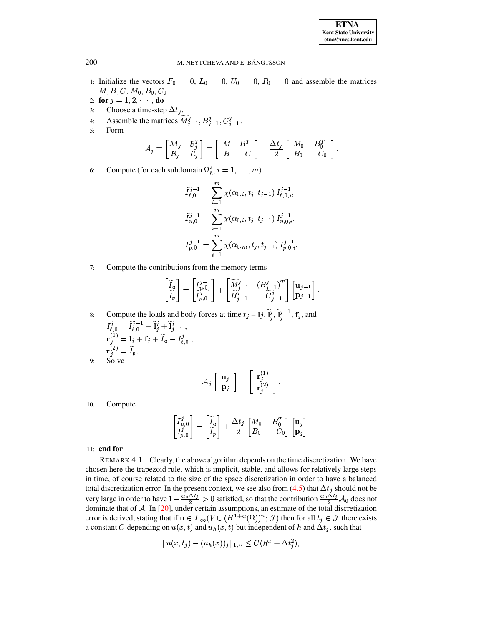- 1: Initialize the vectors  $F_0 = 0$ ,  $L_0 = 0$ ,  $U_0 = 0$ ,  $P_0 = 0$  and assemble the matrices  $M, B, C, M_0, B_0, C_0.$
- 2: for  $j = 1, 2, \dots,$  do
- $3:$
- Choose a time-step  $\Delta t_j$ .<br>Assemble the matrices  $\widetilde{M}_{j-1}^j$ ,  $\widetilde{B}_{j-1}^j$ ,  $\widetilde{C}_{j-1}^j$ .  $4:$
- Form  $5:$

$$
\mathcal{A}_j \equiv \begin{bmatrix} \mathcal{M}_j & \mathcal{B}_j^T \\ \mathcal{B}_j & \mathcal{C}_j \end{bmatrix} \equiv \begin{bmatrix} M & B^T \\ B & -C \end{bmatrix} - \frac{\Delta t_j}{2} \begin{bmatrix} M_0 & B_0^T \\ B_0 & -C_0 \end{bmatrix}.
$$

Compute (for each subdomain  $\Omega_h^i$ ,  $i = 1, \ldots, m$ ) 6:

$$
\widetilde{I}_{\ell,0}^{j-1} = \sum_{i=1}^{m} \chi(\alpha_{0,i}, t_j, t_{j-1}) I_{\ell,0,i}^{j-1},
$$
  

$$
\widetilde{I}_{u,0}^{j-1} = \sum_{i=1}^{m} \chi(\alpha_{0,i}, t_j, t_{j-1}) I_{u,0,i}^{j-1},
$$
  

$$
\widetilde{I}_{p,0}^{j-1} = \sum_{i=1}^{m} \chi(\alpha_{0,m}, t_j, t_{j-1}) I_{p,0,i}^{j-1}.
$$

 $7:$ Compute the contributions from the memory terms

$$
\begin{bmatrix} \widetilde{I}_u \\ \widetilde{I}_p \end{bmatrix} = \begin{bmatrix} \widetilde{I}_u^{j-1} \\ \widetilde{I}_{p,0}^{j-1} \end{bmatrix} + \begin{bmatrix} \widetilde{M}_{j-1}^j & (\widetilde{B}_{j-1}^j)^T \\ \widetilde{B}_{j-1}^j & -\widetilde{C}_{j-1}^j \end{bmatrix} \begin{bmatrix} \mathbf{u}_{j-1} \\ \mathbf{p}_{j-1} \end{bmatrix}.
$$

Compute the loads and body forces at time  $t_j - 1j$ ,  $\tilde{I}_j^j$ ,  $\tilde{I}_j^{j-1}$ ,  $\mathbf{f}_j$ , and<br>  $I_{\ell,0}^j = \tilde{I}_{\ell,0}^{j-1} + \tilde{I}_j^j + \tilde{I}_{j-1}^j$ ,<br>  $\mathbf{r}_j^{(1)} = I_j + \mathbf{f}_j + \tilde{I}_u - I_{\ell,0}^j$ ,<br>  $\mathbf{r}_j^{(2)} = \tilde{I}_p$ .<br>
S  $8:$  $Q$ 

$$
\mathcal{A}_j \left[ \begin{array}{c} \mathbf{u}_j \\ \mathbf{p}_j \end{array} \right] = \left[ \begin{array}{c} \mathbf{r}_j^{(1)} \\ \mathbf{r}_j^{(2)} \end{array} \right].
$$

 $10:$ Compute

$$
\begin{bmatrix} I_{u,0}^j \\ I_{p,0}^j \end{bmatrix} = \begin{bmatrix} \widetilde{I}_u \\ \widetilde{I}_p \end{bmatrix} + \frac{\Delta t_j}{2} \begin{bmatrix} M_0 & B_0^T \\ B_0 & -C_0 \end{bmatrix} \begin{bmatrix} \mathbf{u}_j \\ \mathbf{p}_j \end{bmatrix}
$$

# $11:$  end for

REMARK 4.1. Clearly, the above algorithm depends on the time discretization. We have chosen here the trapezoid rule, which is implicit, stable, and allows for relatively large steps in time, of course related to the size of the space discretization in order to have a balanced total discretization error. In the present context, we see also from (4.5) that  $\Delta t_j$  should not be very large in order to have  $1 - \frac{\alpha_0 \Delta t_j}{2} > 0$  satisfied, so that the contribution  $\frac{\alpha_0 \Delta t_j}{2} \mathcal{A}_0$  does not<br>dominate that of A. In [20], under certain assumptions, an estimate of the total discretization<br>error is a constant C depending on  $u(x, t)$  and  $u<sub>h</sub>(x, t)$  but independent of h and  $\Delta t<sub>j</sub>$ , such that

$$
||u(x, t_j) - (u_h(x))_j||_{1, \Omega} \le C(h^{\alpha} + \Delta t_j^2),
$$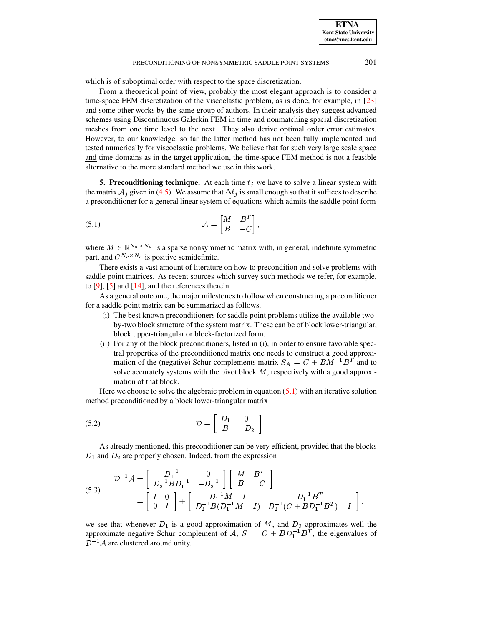which is of suboptimal order with respect to the space discretization.

From a theoretical point of view, probably the most elegant approach is to consider a time-space FEM discretization of the viscoelastic problem, as is done, for example, in [\[23\]](#page-18-5) and some other works by the same group of authors. In their analysis they suggest advanced schemes using Discontinuous Galerkin FEM in time and nonmatching spacial discretization meshes from one time level to the next. They also derive optimal order error estimates. However, to our knowledge, so far the latter method has not been fully implemented and tested numerically for viscoelastic problems. We believe that for such very large scale space and time domains as in the target application, the time-space FEM method is not a feasible alternative to the more standard method we use in this work.

<span id="page-8-0"></span>**5. Preconditioning technique.** At each time  $t_j$  we have to solve a linear system with the matrix  $A_j$  given in [\(4.5\)](#page-6-0). We assume that  $\Delta t_j$  is small enough so that it suffices to describe a preconditioner for a general linear system of equations which admits the saddle point form

$$
A = \begin{bmatrix} M & B^T \\ B & -C \end{bmatrix},
$$

where  $M \in \mathbb{R}^{N_u \times N_u}$  is a sparse nonsymmetric matrix with, in general, indefinite symmetric part, and  $C^{N_p \times N_p}$  is positive semidefinite.

There exists a vast amount of literature on how to precondition and solve problems with saddle point matrices. As recent sources which survey such methods we refer, for example, to  $[9]$ ,  $[5]$  and  $[14]$ , and the references therein.

As a general outcome, the major milestones to follow when constructing a preconditioner for a saddle point matrix can be summarized as follows.

- (i) The best known preconditioners for saddle point problems utilize the available twoby-two block structure of the system matrix. These can be of block lower-triangular, block upper-triangular or block-factorized form.
- <span id="page-8-3"></span>(ii) For any of the block preconditioners, listed in (i), in order to ensure favorable spectral properties of the preconditioned matrix one needs to construct a good approximation of the (negative) Schur complements matrix  $S_A = C + BM^{-1}B^T$  and to solve accurately systems with the pivot block  $M$ , respectively with a good approximation of that block.

Here we choose to solve the algebraic problem in equation [\(5.1\)](#page-8-1) with an iterative solution method preconditioned by a block lower-triangular matrix

$$
(5.2) \t\t \mathcal{D} = \begin{bmatrix} D_1 & 0 \\ B & -D_2 \end{bmatrix}.
$$

<span id="page-8-2"></span>As already mentioned, this preconditioner can be very efficient, provided that the blocks and  $D_2$  are properly chosen. Indeed, from the expression

(5.3) 
$$
\mathcal{D}^{-1}\mathcal{A} = \begin{bmatrix} D_1^{-1} & 0 \\ D_2^{-1}BD_1^{-1} & -D_2^{-1} \end{bmatrix} \begin{bmatrix} M & B^T \\ B & -C \end{bmatrix} = \begin{bmatrix} I & 0 \\ 0 & I \end{bmatrix} + \begin{bmatrix} D_1^{-1}M - I & D_2^{-1}(C + BD_1^{-1}B^T) - I \end{bmatrix}.
$$

we see that whenever  $D_1$  is a good approximation of M, and  $D_2$  approximates well the approximate negative Schur complement of  $A, S = C + BD_1^{-1}B^T$ , the eigenvalues of  $\mathcal{D}^{-1}\mathcal{A}$  are clustered around unity.

<span id="page-8-1"></span>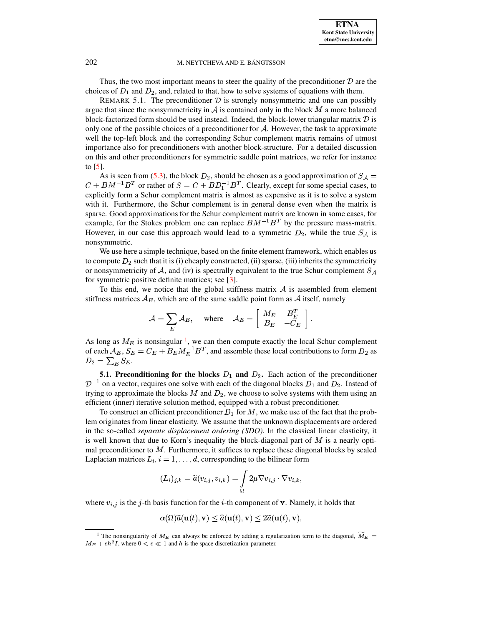Thus, the two most important means to steer the quality of the preconditioner  $D$  are the choices of  $D_1$  and  $D_2$ , and, related to that, how to solve systems of equations with them.

REMARK 5.1. The preconditioner  $D$  is strongly nonsymmetric and one can possibly argue that since the nonsymmetricity in  $A$  is contained only in the block  $M$  a more balanced block-factorized form should be used instead. Indeed, the block-lower triangular matrix  $D$  is only one of the possible choices of a preconditioner for  $A$ . However, the task to approximate well the top-left block and the corresponding Schur complement matrix remains of utmost importance also for preconditioners with another block-structure. For a detailed discussion on this and other preconditioners for symmetric saddle point matrices, we refer for instance to [\[5\]](#page-17-2).

As is seen from [\(5.3\)](#page-8-2), the block  $D_2$ , should be chosen as a good approximation of  $S_A$  =  $C + BM^{-1}B^{T}$  or rather of  $S = C + BD_1^{-1}B^{T}$ . Clearly, except for some special cases, to explicitly form a Schur complement matrix is almost as expensive as it is to solve a system with it. Furthermore, the Schur complement is in general dense even when the matrix is sparse. Good approximations for the Schur complement matrix are known in some cases, for example, for the Stokes problem one can replace  $BM^{-1}B^T$  by the pressure mass-matrix. However, in our case this approach would lead to a symmetric  $D_2$ , while the true  $S_A$  is nonsymmetric.

We use here a simple technique, based on the finite element framework, which enables us to compute  $D_2$  such that it is (i) cheaply constructed, (ii) sparse, (iii) inherits the symmetricity or nonsymmetricity of A, and (iv) is spectrally equivalent to the true Schur complement  $S_A$ for symmetric positive definite matrices; see [\[3\]](#page-17-3).

To this end, we notice that the global stiffness matrix  $A$  is assembled from element stiffness matrices  $A_E$ , which are of the same saddle point form as  $A$  itself, namely

$$
\mathcal{A} = \sum_E \mathcal{A}_E, \quad \text{ where } \quad \mathcal{A}_E = \left[ \begin{array}{cc} M_E & B_E^T \\ B_E & -C_E \end{array} \right].
$$

As long as  $M_E$  is nonsingular <sup>[1](#page-9-0)</sup>, we can then compute exactly the local Schur complement of each  $A_E$ ,  $S_E = C_E + B_E M_E^{-1} B^T$ , and assemble these local contributions to form  $D_2$  as  $D_2 = \sum_E S_E.$ 

**5.1. Preconditioning for the blocks**  $D_1$  **and**  $D_2$ **.** Each action of the preconditioner  $\mathcal{D}^{-1}$  on a vector, requires one solve with each of the diagonal blocks  $D_1$  and  $D_2$ . Instead of trying to approximate the blocks  $M$  and  $D_2$ , we choose to solve systems with them using an efficient (inner) iterative solution method, equipped with a robust preconditioner.

To construct an efficient preconditioner  $D_1$  for  $M$ , we make use of the fact that the problem originates from linear elasticity. We assume that the unknown displacements are ordered in the so-called *separate displacement ordering (SDO)*. In the classical linear elasticity, it is well known that due to Korn's inequality the block-diagonal part of  $M$  is a nearly optimal preconditioner to  $M$ . Furthermore, it suffices to replace these diagonal blocks by scaled Laplacian matrices  $L_i$ ,  $i = 1, \ldots, d$ , corresponding to the bilinear form

$$
(L_i)_{j,k} = \widetilde{a}(v_{i,j}, v_{i,k}) = \int_{\Omega} 2\mu \nabla v_{i,j} \cdot \nabla v_{i,k},
$$

where  $v_{i,j}$  is the j-th basis function for the *i*-th component of **v**. Namely, it holds that

$$
\alpha(\Omega)\widetilde{a}(\mathbf{u}(t), \mathbf{v}) \leq \widehat{a}(\mathbf{u}(t), \mathbf{v}) \leq 2\widetilde{a}(\mathbf{u}(t), \mathbf{v}),
$$

<span id="page-9-0"></span><sup>&</sup>lt;sup>1</sup> The nonsingularity of  $M_E$  can always be enforced by adding a regularization term to the diagonal,  $\widetilde{M}_E$  =  $M_E + \epsilon h^2 I$ , where  $0 < \epsilon \ll 1$  and h is the space discretization parameter.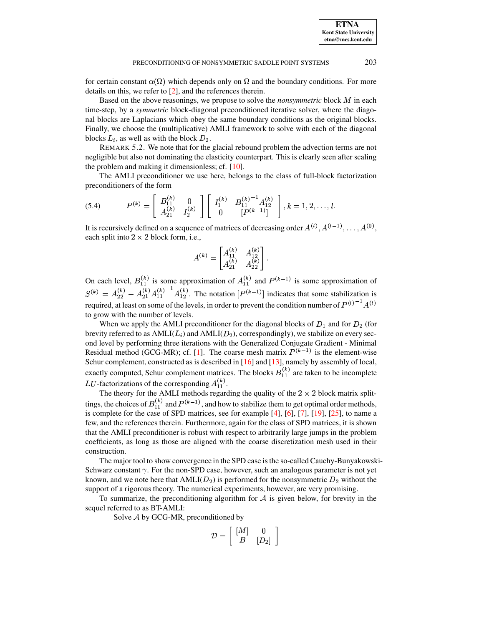**ETNA Kent State University etna@mcs.kent.edu**

for certain constant  $\alpha(\Omega)$  which depends only on  $\Omega$  and the boundary conditions. For more details on this, we refer to [\[2\]](#page-17-4), and the references therein.

Based on the above reasonings, we propose to solve the *nonsymmetric* block  $M$  in each time-step, by a *symmetric* block-diagonal preconditioned iterative solver, where the diagonal blocks are Laplacians which obey the same boundary conditions as the original blocks. Finally, we choose the (multiplicative) AMLI framework to solve with each of the diagonal blocks  $L_i$ , as well as with the block  $D_2$ .

REMARK 5.2. We note that for the glacial rebound problem the advection terms are not negligible but also not dominating the elasticity counterpart. This is clearly seen after scaling the problem and making it dimensionless; cf. [\[10\]](#page-17-5).

The AMLI preconditioner we use here, belongs to the class of full-block factorization preconditioners of the form

$$
(5.4) \tP(k) = \begin{bmatrix} B_{11}^{(k)} & 0 \\ A_{21}^{(k)} & I_2^{(k)} \end{bmatrix} \begin{bmatrix} I_1^{(k)} & B_{11}^{(k)-1} A_{12}^{(k)} \\ 0 & [P^{(k-1)}] \end{bmatrix}, k = 1, 2, \ldots, l.
$$

It is recursively defined on a sequence of matrices of decreasing order  $A^{(l)}$ ,  $A^{(l-1)}$ , ..., @HX  $(1-1), \ldots, A^{(0)},$ . . . % , each split into  $2 \times 2$  block form, i.e.,

$$
A^{(k)} = \begin{bmatrix} A_{11}^{(k)} & A_{12}^{(k)} \\ A_{21}^{(k)} & A_{22}^{(k)} \end{bmatrix}.
$$

On each level,  $B_{11}^{(k)}$  is some approximation of  $A_{11}^{(k)}$  and  $P^{(k-1)}$  is some approximation of  $\sim$   $-1$  $(k)$   $\lambda$  <sup>X</sup>  $(k)$   $(l)$ ، 191-201-2011 - 2010 - 20  $(k)$   $(k)$   $^{-1}$ ] required, at least on some of the levels, in order to prevent the condition number of  $P^{(l)}^{-1}A^{(l)}$  $\binom{k}{11}^{-1} A_{12}^{(k)}$ . The notation  $(k)$   $\qquad \qquad$  $\binom{k}{12}$ . The notation  $[P^{(k-1)}]$  indicates that some stabilization is to grow with the number of levels.

When we apply the AMLI preconditioner for the diagonal blocks of  $D_1$  and for  $D_2$  (for brevity referred to as  $\text{AMLI}(L_i)$  and  $\text{AMLI}(D_2)$ , correspondingly), we stabilize on every second level by performing three iterations with the Generalized Conjugate Gradient - Minimal Residual method (GCG-MR); cf. [\[1\]](#page-17-6). The coarse mesh matrix  $P^{(k-1)}$  is the element-wise Schur complement, constructed as is described in [\[16\]](#page-18-7) and [\[13\]](#page-17-7), namely by assembly of local, exactly computed, Schur complement matrices. The blocks  $B_{11}^{(k)}$  are taken to be incomplete LU-factorizations of the corresponding  $A_{11}^{(k)}$ .

The theory for the AMLI methods regarding the quality of the  $2 \times 2$  block matrix splittings, the choices of  $B_{11}^{(k)}$  and  $P^{(k-1)}$ , and how to stabilize them to get optimal order methods, is complete for the case of SPD matrices, see for example [\[4\]](#page-17-8), [\[6\]](#page-17-9), [\[7\]](#page-17-10), [\[19\]](#page-18-8), [\[25\]](#page-18-9), to name a few, and the references therein. Furthermore, again for the class of SPD matrices, it is shown that the AMLI preconditioner is robust with respect to arbitrarily large jumps in the problem coefficients, as long as those are aligned with the coarse discretization mesh used in their construction.

The major tool to show convergence in the SPD case is the so-called Cauchy-Bunyakowski-Schwarz constant  $\gamma$ . For the non-SPD case, however, such an analogous parameter is not yet known, and we note here that  $AMLI(D_2)$  is performed for the nonsymmetric  $D_2$  without the support of a rigorous theory. The numerical experiments, however, are very promising.

To summarize, the preconditioning algorithm for  $\mathcal A$  is given below, for brevity in the sequel referred to as BT-AMLI:

Solve  $A$  by GCG-MR, preconditioned by

$$
\mathcal{D} = \left[ \begin{array}{cc} [M] & 0 \\ B & [D_2] \end{array} \right]
$$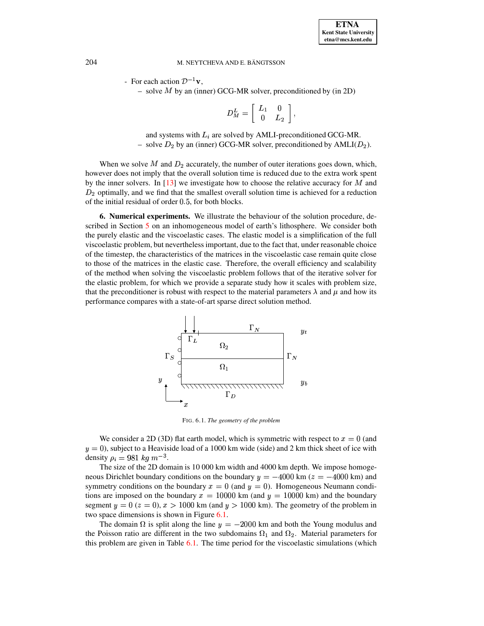- For each action  $\mathcal{D}^{-1}\mathbf{v}$ ,

 $-$  solve  $M$  by an (inner) GCG-MR solver, preconditioned by (in 2D)

$$
D_M^L = \left[\begin{array}{cc} L_1 & 0 \\ 0 & L_2 \end{array}\right],
$$

and systems with  $L_i$  are solved by AMLI-preconditioned GCG-MR. - solve  $D_2$  by an (inner) GCG-MR solver, preconditioned by  $AMLI(D_2)$ .

When we solve  $M$  and  $D_2$  accurately, the number of outer iterations goes down, which, however does not imply that the overall solution time is reduced due to the extra work spent by the inner solvers. In  $[13]$  we investigate how to choose the relative accuracy for  $M$  and of the initial residual of order 0.5, for both blocks. 2 optimally, and we find that the smallest overall solution time is achieved for a reduction

<span id="page-11-0"></span>**6. Numerical experiments.** We illustrate the behaviour of the solution procedure, described in Section [5](#page-8-0) on an inhomogeneous model of earth's lithosphere. We consider both the purely elastic and the viscoelastic cases. The elastic model is a simplification of the full viscoelastic problem, but nevertheless important, due to the fact that, under reasonable choice of the timestep, the characteristics of the matrices in the viscoelastic case remain quite close to those of the matrices in the elastic case. Therefore, the overall efficiency and scalability of the method when solving the viscoelastic problem follows that of the iterative solver for the elastic problem, for which we provide a separate study how it scales with problem size, that the preconditioner is robust with respect to the material parameters  $\lambda$  and  $\mu$  and how its performance compares with a state-of-art sparse direct solution method. PSfrag replacements





<span id="page-11-1"></span>FIG. 6.1. *The geometry of the problem*

We consider a 2D (3D) flat earth model, which is symmetric with respect to  $x = 0$  (and  $y = 0$ ), subject to a Heaviside load of a 1000 km wide (side) and 2 km thick sheet of ice with density  $\rho_i = 981 kg m^{-3}$ .

The size of the 2D domain is 10 000 km width and 4000 km depth. We impose homogeneous Dirichlet boundary conditions on the boundary  $y = -4000$  km ( $z = -4000$  km) and neous Dirichlet boundary conditions on the boundary  $y = -4000 \text{ km } (z = -4000 \text{ km})$  and symmetry conditions on the boundary  $x = 0$  (and  $y = 0$ ). Homogeneous Neumann condisymmetry conditions on the boundary  $x = 0$  (and  $y = 0$ ). Homogeneous Neumann conditions are imposed on the boundary  $x = 10000$  km (and  $y = 10000$  km) and the boundary tions are imposed on the boundary  $x = 10000$  km (and  $y = 10000$  km) and the boundary segment  $y = 0$  ( $z = 0$ ),  $x > 1000$  km (and  $y > 1000$  km). The geometry of the problem in two space dimensions is shown in Figure 6.1. two space dimensions is shown in Figure [6.1.](#page-11-1)

The domain  $\Omega$  is split along the line  $y = -2000$  km and both the Young modulus and The domain  $\Omega$  is split along the line  $y = -2000$  km and both the Young modulus and the Poisson ratio are different in the two subdomains  $\Omega_1$  and  $\Omega_2$ . Material parameters for this problem are given in Table [6.1.](#page-12-0) The time period for the viscoelastic simulations (which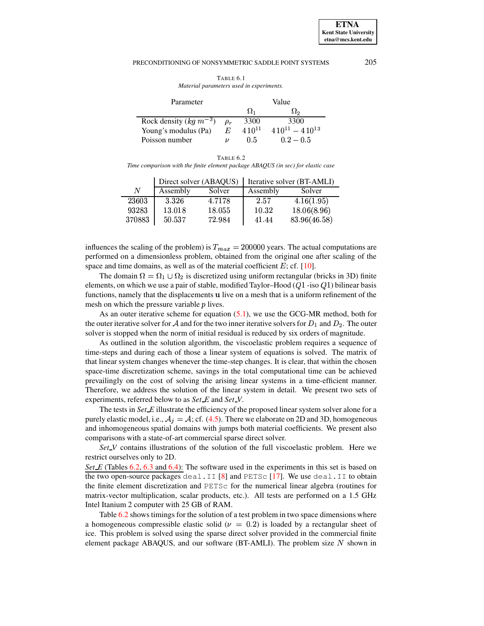TABLE 6.1 Material parameters used in experiments.

<span id="page-12-0"></span>

| Parameter                  | Value |            |                         |  |
|----------------------------|-------|------------|-------------------------|--|
|                            |       | $\Omega_1$ | ∫≀∍                     |  |
| Rock density $(kg m^{-3})$ |       | 3300       | 3300                    |  |
| Young's modulus (Pa)       | E     | $410^{11}$ | $4.10^{11} - 4.10^{13}$ |  |
| Poisson number             |       | 0.5        | $0.2 - 0.5$             |  |

TABLE 6.2 Time comparison with the finite element package ABAQUS (in sec) for elastic case

<span id="page-12-1"></span>

|        |          | Direct solver (ABAQUS) | Iterative solver (BT-AMLI) |              |  |  |
|--------|----------|------------------------|----------------------------|--------------|--|--|
| N      | Assembly | Solver                 | Assembly                   | Solver       |  |  |
| 23603  | 3.326    | 4.7178                 | 2.57                       | 4.16(1.95)   |  |  |
| 93283  | 13.018   | 18.055                 | 10.32                      | 18.06(8.96)  |  |  |
| 370883 | 50.537   | 72.984                 | 41.44                      | 83.96(46.58) |  |  |

influences the scaling of the problem) is  $T_{max} = 200000$  years. The actual computations are performed on a dimensionless problem, obtained from the original one after scaling of the space and time domains, as well as of the material coefficient  $E$ ; cf. [10].

The domain  $\Omega = \Omega_1 \cup \Omega_2$  is discretized using uniform rectangular (bricks in 3D) finite elements, on which we use a pair of stable, modified Taylor-Hood  $(Q1 - iso\ Q1)$  bilinear basis functions, namely that the displacements u live on a mesh that is a uniform refinement of the mesh on which the pressure variable  $p$  lives.

As an outer iterative scheme for equation  $(5.1)$ , we use the GCG-MR method, both for the outer iterative solver for A and for the two inner iterative solvers for  $D_1$  and  $D_2$ . The outer solver is stopped when the norm of initial residual is reduced by six orders of magnitude.

As outlined in the solution algorithm, the viscoelastic problem requires a sequence of time-steps and during each of those a linear system of equations is solved. The matrix of that linear system changes whenever the time-step changes. It is clear, that within the chosen space-time discretization scheme, savings in the total computational time can be achieved prevailingly on the cost of solving the arising linear systems in a time-efficient manner. Therefore, we address the solution of the linear system in detail. We present two sets of experiments, referred below to as Set E and Set V.

The tests in Set\_E illustrate the efficiency of the proposed linear system solver alone for a purely elastic model, i.e.,  $A_j = A$ ; cf. (4.5). There we elaborate on 2D and 3D, homogeneous and inhomogeneous spatial domains with jumps both material coefficients. We present also comparisons with a state-of-art commercial sparse direct solver.

Set\_V contains illustrations of the solution of the full viscoelastic problem. Here we restrict ourselves only to 2D.

Set  $E$  (Tables 6.2, 6.3 and 6.4): The software used in the experiments in this set is based on the two open-source packages deal. II [8] and PETSc [17]. We use deal. II to obtain the finite element discretization and PETSc for the numerical linear algebra (routines for matrix-vector multiplication, scalar products, etc.). All tests are performed on a 1.5 GHz Intel Itanium 2 computer with 25 GB of RAM.

Table 6.2 shows timings for the solution of a test problem in two space dimensions where a homogeneous compressible elastic solid ( $\nu = 0.2$ ) is loaded by a rectangular sheet of ice. This problem is solved using the sparse direct solver provided in the commercial finite element package ABAQUS, and our software (BT-AMLI). The problem size  $N$  shown in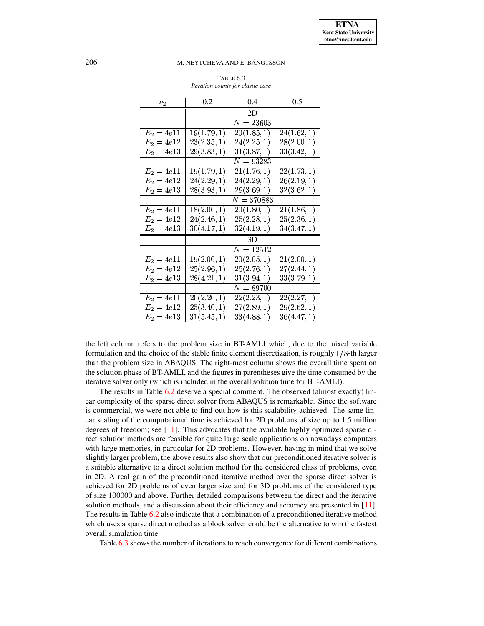TABLE 6.3 Iteration counts for elastic case

<span id="page-13-0"></span>

| $\nu_2$      | 0.2         | 0.4          | 0.5         |
|--------------|-------------|--------------|-------------|
|              |             | 2D           |             |
|              |             | $N = 23603$  |             |
| $E_2=4e11$   | 19(1.79, 1) | 20(1.85, 1)  | 24(1.62, 1) |
| $E_2 = 4e12$ | 23(2.35, 1) | 24(2.25, 1)  | 28(2.00, 1) |
| $E_2 = 4e13$ | 29(3.83, 1) | 31(3.87, 1)  | 33(3.42, 1) |
|              |             | $N = 93283$  |             |
| $E_2 = 4e11$ | 19(1.79, 1) | 21(1.76, 1)  | 22(1.73, 1) |
| $E_2 = 4e12$ | 24(2.29, 1) | 24(2.29, 1)  | 26(2.19, 1) |
| $E_2 = 4e13$ | 28(3.93, 1) | 29(3.69, 1)  | 32(3.62, 1) |
|              |             | $N = 370883$ |             |
| $E_2 = 4e11$ | 18(2.00, 1) | 20(1.80, 1)  | 21(1.86, 1) |
| $E_2 = 4e12$ | 24(2.46, 1) | 25(2.28, 1)  | 25(2.36, 1) |
| $E_2 = 4e13$ | 30(4.17, 1) | 32(4.19, 1)  | 34(3.47, 1) |
|              |             | 3D           |             |
|              |             | $N = 12512$  |             |
| $E_2 = 4e11$ | 19(2.00, 1) | 20(2.05, 1)  | 21(2.00, 1) |
| $E_2 = 4e12$ | 25(2.96, 1) | 25(2.76, 1)  | 27(2.44, 1) |
| $E_2=4e13$   | 28(4.21, 1) | 31(3.94, 1)  | 33(3.79, 1) |
|              |             | $N = 89700$  |             |
| $E_2=4e11$   | 20(2.20, 1) | 22(2.23, 1)  | 22(2.27,1)  |
| $E_2 = 4e12$ | 25(3.40, 1) | 27(2.89, 1)  | 29(2.62, 1) |
| $E_2 = 4e13$ | 31(5.45, 1) | 33(4.88, 1)  | 36(4.47, 1) |

the left column refers to the problem size in BT-AMLI which, due to the mixed variable formulation and the choice of the stable finite element discretization, is roughly  $1/8$ -th larger than the problem size in ABAQUS. The right-most column shows the overall time spent on the solution phase of BT-AMLI, and the figures in parentheses give the time consumed by the iterative solver only (which is included in the overall solution time for BT-AMLI).

The results in Table 6.2 deserve a special comment. The observed (almost exactly) linear complexity of the sparse direct solver from ABAQUS is remarkable. Since the software is commercial, we were not able to find out how is this scalability achieved. The same linear scaling of the computational time is achieved for 2D problems of size up to 1.5 million degrees of freedom; see  $[11]$ . This advocates that the available highly optimized sparse direct solution methods are feasible for quite large scale applications on nowadays computers with large memories, in particular for 2D problems. However, having in mind that we solve slightly larger problem, the above results also show that our preconditioned iterative solver is a suitable alternative to a direct solution method for the considered class of problems, even in 2D. A real gain of the preconditioned iterative method over the sparse direct solver is achieved for 2D problems of even larger size and for 3D problems of the considered type of size 100000 and above. Further detailed comparisons between the direct and the iterative solution methods, and a discussion about their efficiency and accuracy are presented in  $[11]$ . The results in Table 6.2 also indicate that a combination of a preconditioned iterative method which uses a sparse direct method as a block solver could be the alternative to win the fastest overall simulation time.

Table 6.3 shows the number of iterations to reach convergence for different combinations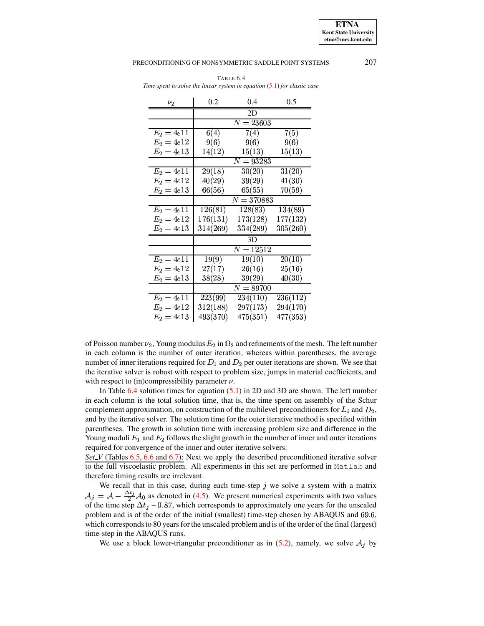207

#### <span id="page-14-0"></span>PRECONDITIONING OF NONSYMMETRIC SADDLE POINT SYSTEMS

| $\nu_2$      | 0.2      | 0.4                     | 0.5      |
|--------------|----------|-------------------------|----------|
|              |          | 2D                      |          |
|              |          | $N = 23603$             |          |
| $E_2 = 4e11$ | 6(4)     | 7(4)                    | 7(5)     |
| $E_2 = 4e12$ | 9(6)     | 9(6)                    | 9(6)     |
| $E_2 = 4e13$ | 14(12)   | 15(13)                  | 15(13)   |
|              |          | $N = 93283$             |          |
| $E_2 = 4e11$ | 29(18)   | 30(20)                  | 31(20)   |
| $E_2 = 4e12$ | 40(29)   | 39(29)                  | 41(30)   |
| $E_2 = 4e13$ | 66(56)   | 65(55)                  | 70(59)   |
|              |          | $\overline{N} = 370883$ |          |
| $E_2 = 4e11$ | 126(81)  | 128(83)                 | 134(89)  |
| $E_2 = 4e12$ | 176(131) | 173(128)                | 177(132) |
| $E_2 = 4e13$ | 314(269) | 334(289)                | 305(260) |
|              |          | 3D                      |          |
|              |          | $N = 12512$             |          |
| $E_2=4e11$   | 19(9)    | 19(10)                  | 20(10)   |
| $E_2 = 4e12$ | 27(17)   | 26(16)                  | 25(16)   |
| $E_2 = 4e13$ | 38(28)   | 39(29)                  | 40(30)   |
|              |          | $N=89700$               |          |
| $E_2=4e11$   | 223(99)  | 234(110)                | 236(112) |
| $E_2 = 4e12$ | 312(188) | 297(173)                | 294(170) |
| $E_2 = 4e13$ | 493(370) | 475(351)                | 477(353) |

TABLE 6.4 Time spent to solve the linear system in equation  $(5.1)$  for elastic case

of Poisson number  $\nu_2$ , Young modulus  $E_2$  in  $\Omega_2$  and refinements of the mesh. The left number in each column is the number of outer iteration, whereas within parentheses, the average number of inner iterations required for  $D_1$  and  $D_2$  per outer iterations are shown. We see that the iterative solver is robust with respect to problem size, jumps in material coefficients, and with respect to (in)compressibility parameter  $\nu$ .

In Table 6.4 solution times for equation  $(5.1)$  in 2D and 3D are shown. The left number in each column is the total solution time, that is, the time spent on assembly of the Schur complement approximation, on construction of the multilevel preconditioners for  $L_i$  and  $D_2$ , and by the iterative solver. The solution time for the outer iterative method is specified within parentheses. The growth in solution time with increasing problem size and difference in the Young moduli  $E_1$  and  $E_2$  follows the slight growth in the number of inner and outer iterations required for convergence of the inner and outer iterative solvers.

Set\_V (Tables 6.5, 6.6 and 6.7): Next we apply the described preconditioned iterative solver to the full viscoelastic problem. All experiments in this set are performed in Matlab and therefore timing results are irrelevant.

We recall that in this case, during each time-step  $j$  we solve a system with a matrix  $A_j = A - \frac{\Delta t_j}{2} A_0$  as denoted in (4.5). We present numerical experiments with two values of the time step  $\Delta t_j$  – 0.87, which corresponds to approximately one years for the unscaled problem and is of the order of the initial (smallest) time-step chosen by ABAQUS and 69.6, which corresponds to 80 years for the unscaled problem and is of the order of the final (largest) time-step in the ABAQUS runs.

We use a block lower-triangular preconditioner as in (5.2), namely, we solve  $A_j$  by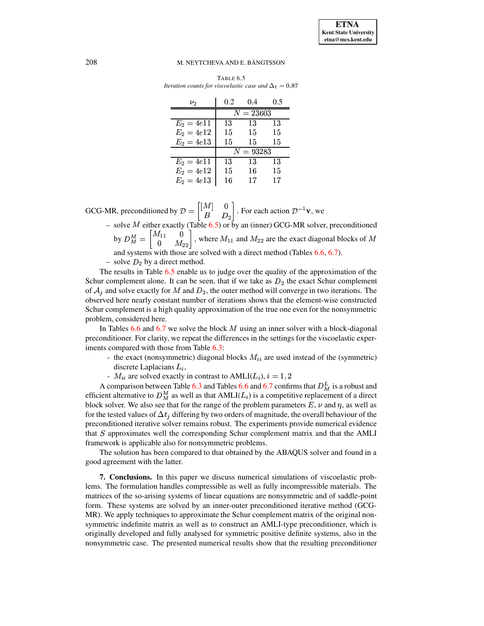<span id="page-15-0"></span>

| TABLE 6.5                                                    |  |
|--------------------------------------------------------------|--|
| Iteration counts for viscoelastic case and $\Delta_t = 0.87$ |  |

| $\nu_2$      | 0.2 | (0.4)       | 0.5 |
|--------------|-----|-------------|-----|
|              |     | $N = 23603$ |     |
| $E_2 = 4e11$ | 13  | 13          | 13  |
| $E_2 = 4e12$ | 15  | 15          | 15  |
| $E_2 = 4e13$ | 15  | 15          | 15  |
|              |     | $N = 93283$ |     |
| $E_2 = 4e11$ | 13  | 13          | 13  |
| $E_2 = 4e12$ | 15  | 16          | 15  |
| $E_2 = 4e13$ | 16  | 17          | 17  |

GCG-MR, preconditioned by  $\mathcal{D} = \begin{bmatrix} 1^{1/2} & 0 \\ B & D_2 \end{bmatrix}$ . For each action  $\mathcal{D}^{-1}\mathbf{v}$ , we

– solve  $M$  either exactly (Table [6.5\)](#page-15-0) or by an (inner) GCG-MR solver, preconditioned by  $D_M^M = \begin{bmatrix} 1 & 0 \\ 0 & M_{22} \end{bmatrix}$ , where  $M_{11}$  and  $M_{22}$  are the exact diagonal blocks of M

and systems with those are solved with a direct method (Tables [6.6,](#page-16-0) [6.7\)](#page-16-1).

 $-$  solve  $D_2$  by a direct method.

The results in Table [6.5](#page-15-0) enable us to judge over the quality of the approximation of the Schur complement alone. It can be seen, that if we take as  $D_2$  the exact Schur complement of  $A_j$  and solve exactly for M and  $D_2$ , the outer method will converge in two iterations. The observed here nearly constant number of iterations shows that the element-wise constructed Schur complement is a high quality approximation of the true one even for the nonsymmetric problem, considered here.

In Tables [6.6](#page-16-0) and [6.7](#page-16-1) we solve the block  $M$  using an inner solver with a block-diagonal preconditioner. For clarity, we repeat the differences in the settings for the viscoelastic experiments compared with those from Table [6.3:](#page-13-0)

- the exact (nonsymmetric) diagonal blocks  $M_{ii}$  are used instead of the (symmetric) discrete Laplacians  $L_i$ ,
- $-M_{ii}$  are solved exactly in contrast to  $AMLI(L_i), i = 1, 2$

A comparison between Table [6.3](#page-13-0) and Tables [6.6](#page-16-0) and [6.7](#page-16-1) confirms that  $D_M^L$  is a robust and efficient alternative to  $D_M^M$  as well as that  $AMLI(L_i)$  is a competitive replacement of a direct block solver. We also see that for the range of the problem parameters  $E$ ,  $\nu$  and  $\eta$ , as well as for the tested values of  $\Delta t_i$  differing by two orders of magnitude, the overall behaviour of the preconditioned iterative solver remains robust. The experiments provide numerical evidence that  $S$  approximates well the corresponding Schur complement matrix and that the AMLI framework is applicable also for nonsymmetric problems.

The solution has been compared to that obtained by the ABAQUS solver and found in a good agreement with the latter.

**7. Conclusions.** In this paper we discuss numerical simulations of viscoelastic problems. The formulation handles compressible as well as fully incompressible materials. The matrices of the so-arising systems of linear equations are nonsymmetric and of saddle-point form. These systems are solved by an inner-outer preconditioned iterative method (GCG-MR). We apply techniques to approximate the Schur complement matrix of the original nonsymmetric indefinite matrix as well as to construct an AMLI-type preconditioner, which is originally developed and fully analysed for symmetric positive definite systems, also in the nonsymmetric case. The presented numerical results show that the resulting preconditioner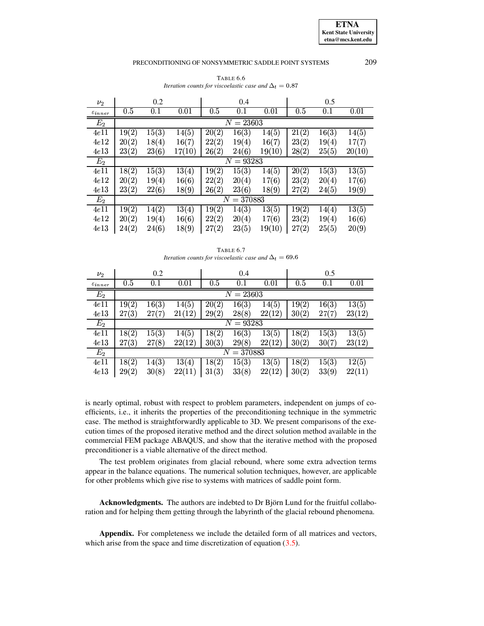<span id="page-16-0"></span>

| $\nu_2$               |       | 0.2          |        |       | 0.4         |        |       | 0.5   |        |
|-----------------------|-------|--------------|--------|-------|-------------|--------|-------|-------|--------|
| $\varepsilon_{inner}$ | 0.5   | 0.1          | 0.01   | 0.5   | 0.1         | 0.01   | 0.5   | 0.1   | 0.01   |
| $\scriptstyle E_2$    |       |              |        |       | $N = 23603$ |        |       |       |        |
| 4e11                  | 19(2) | 15(3)        | 14(5)  | 20(2) | 16(3)       | 14(5)  | 21(2) | 16(3) | 14(5)  |
| 4e12                  | 20(2) | 18(4)        | 16(7)  | 22(2) | 19(4)       | 16(7)  | 23(2) | 19(4) | 17(7)  |
| 4e13                  | 23(2) | 23(6)        | 17(10) | 26(2) | 24(6)       | 19(10) | 28(2) | 25(5) | 20(10) |
| $E_{2}$               |       |              |        |       | $N = 93283$ |        |       |       |        |
| 4e11                  | 18(2) | 15(3)        | 13(4)  | 19(2) | 15(3)       | 14(5)  | 20(2) | 15(3) | 13(5)  |
| 4e12                  | 20(2) | 19(4)        | 16(6)  | 22(2) | 20(4)       | 17(6)  | 23(2) | 20(4) | 17(6)  |
| 4e13                  | 23(2) | 22(6)        | 18(9)  | 26(2) | 23(6)       | 18(9)  | 27(2) | 24(5) | 19(9)  |
| $\scriptstyle E_2$    |       | $N = 370883$ |        |       |             |        |       |       |        |
| 4e11                  | 19(2) | 14(2)        | 13(4)  | 19(2) | 14(3)       | 13(5)  | 19(2) | 14(4) | 13(5)  |
| 4e12                  | 20(2) | 19(4)        | 16(6)  | 22(2) | 20(4)       | 17(6)  | 23(2) | 19(4) | 16(6)  |
| 4e13                  | 24(2) | 24(6)        | 18(9)  | 27(2) | 23(5)       | 19(10) | 27(2) | 25(5) | 20(9)  |

TABLE 6.6 Iteration counts for viscoelastic case and  $\Delta_t = 0.87$ 

| TABLE 6.7                                                    |  |
|--------------------------------------------------------------|--|
| Iteration counts for viscoelastic case and $\Delta_t = 69.6$ |  |

<span id="page-16-1"></span>

| $\nu_2$               | 0.2             |       |        |       | 0.4         |        |                    | 0.5   |        |  |
|-----------------------|-----------------|-------|--------|-------|-------------|--------|--------------------|-------|--------|--|
| $\varepsilon_{inner}$ | 0.5             | 0.1   | 0.01   | 0.5   | 0.1         | 0.01   | 0.5                | 0.1   | 0.01   |  |
| $E_2$                 |                 |       |        |       | $N = 23603$ |        |                    |       |        |  |
| 4e11                  | 19(2)           | 16(3) | 14(5)  | 20(2) | 16(3)       | 14(5)  | 19(2)              | 16(3) | 13(5)  |  |
| 4e13                  | 27(3)           | 27(7) | 21(12) | 29(2) | 28(8)       | 22(12) | 30(2)              | 27(7) | 23(12) |  |
| $E_2$                 |                 |       |        |       | $N=93283$   |        |                    |       |        |  |
| 4e11                  | 18(2)           | 15(3) | 14(5)  | 18(2) | 16(3)       | 13(5)  | 18(2)              | 15(3) | 13(5)  |  |
| 4e13                  | 27(3)           | 27(8) | 22(12) | 30(3) | 29(8)       | 22(12) | 30(2)              | 30(7) | 23(12) |  |
| $E_{2}$               | $=$ 370883<br>N |       |        |       |             |        |                    |       |        |  |
| 4e11                  | 18(2)           | 14(3) | 13(4)  | 18(2) | 15(3)       | 13(5)  | $\overline{18(2)}$ | 15(3) | 12(5)  |  |
| 4e13                  | 29(2)           | 30(8) | 22(11) | 31(3) | 33(8)       | 22(12) | 30(2)              | 33(9) | 22(11) |  |

is nearly optimal, robust with respect to problem parameters, independent on jumps of coefficients, i.e., it inherits the properties of the preconditioning technique in the symmetric case. The method is straightforwardly applicable to 3D. We present comparisons of the execution times of the proposed iterative method and the direct solution method available in the commercial FEM package ABAQUS, and show that the iterative method with the proposed preconditioner is a viable alternative of the direct method.

The test problem originates from glacial rebound, where some extra advection terms appear in the balance equations. The numerical solution techniques, however, are applicable for other problems which give rise to systems with matrices of saddle point form.

**Acknowledgments.** The authors are indebted to Dr Björn Lund for the fruitful collaboration and for helping them getting through the labyrinth of the glacial rebound phenomena.

Appendix. For completeness we include the detailed form of all matrices and vectors, which arise from the space and time discretization of equation  $(3.5)$ .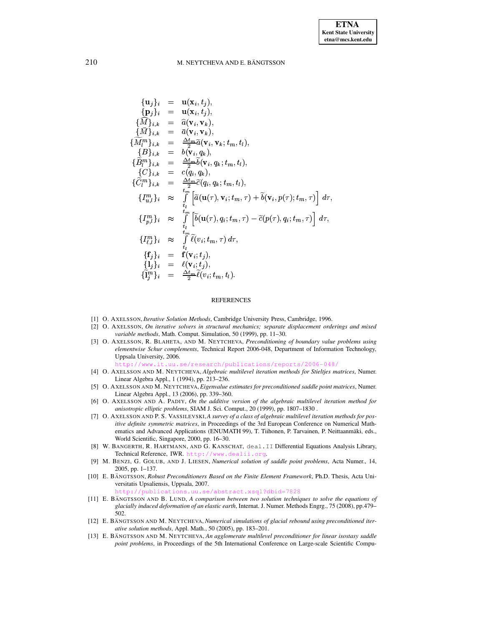$$
\begin{array}{rcl}\n\{\mathbf{u}_j\}_i & = & \mathbf{u}(\mathbf{x}_i, t_j), \\
\{\mathbf{p}_j\}_i & = & \mathbf{u}(\mathbf{x}_i, t_j), \\
\{\widehat{M}\}_{i,k} & = & \widehat{a}(\mathbf{v}_i, \mathbf{v}_k), \\
\{\widehat{M}_i^m\}_{i,k} & = & \widehat{a}(\mathbf{v}_i, \mathbf{v}_k), \\
\{\widehat{M}_i^m\}_{i,k} & = & \frac{\Delta t_m}{2} \widehat{a}(\mathbf{v}_i, \mathbf{v}_k; t_m, t_l), \\
\{\mathbf{B}\}_{i,k} & = & \frac{\Delta t_m}{2} \widehat{b}(\mathbf{v}_i, q_k; t_m, t_l), \\
\{\widehat{G}_i^m\}_{i,k} & = & \frac{\Delta t_m}{2} \widehat{b}(\mathbf{v}_i, q_k; t_m, t_l), \\
\{\widehat{C}_i^m\}_{i,k} & = & \frac{\Delta t_m}{2} \widehat{c}(q_i, q_k; t_m, t_l), \\
\{\widehat{I}_{u,l}^m\}_i & \approx & \int\limits_{t_l}^{t_m} \left[ \widehat{a}(\mathbf{u}(\tau), \mathbf{v}_i; t_m, \tau) + \widehat{b}(\mathbf{v}_i, p(\tau); t_m, \tau) \right] d\tau, \\
\{\widehat{I}_{p,l}^m\}_i & \approx & \int\limits_{t_l}^{t_m} \left[ \widehat{b}(\mathbf{u}(\tau), q_i; t_m, \tau) - \widehat{c}(p(\tau), q_i; t_m, \tau) \right] d\tau, \\
\{\widehat{I}_{p,l}^m\}_i & \approx & \int\limits_{t_l}^{t_m} \widehat{\ell}(v_i; t_m, \tau) d\tau, \\
\{\mathbf{f}_j\}_i & = & \mathbf{f}(\mathbf{v}_i; t_j), \\
\{\widehat{I}_j^m\}_i & = & \frac{\Delta t_m}{2} \widehat{\ell}(v_i; t_m, t_l).\n\end{array}
$$

## **REFERENCES**

- <span id="page-17-6"></span><span id="page-17-4"></span>[1] O. AXELSSON, *Iterative Solution Methods*, Cambridge University Press, Cambridge, 1996.
- <span id="page-17-3"></span>[2] O. AXELSSON, On iterative solvers in structural mechanics; separate displacement orderings and mixed variable methods, Math. Comput. Simulation, 50 (1999), pp. 11-30.
- [3] O. AXELSSON, R. BLAHETA, AND M. NEYTCHEVA, Preconditioning of boundary value problems using elementwise Schur complements, Technical Report 2006-048, Department of Information Technology, Uppsala University, 2006.

- <span id="page-17-8"></span>[4] O. AXELSSON AND M. NEYTCHEVA, Algebraic multilevel iteration methods for Stieltjes matrices, Numer. Linear Algebra Appl., 1 (1994), pp. 213-236.
- <span id="page-17-2"></span>[5] O. AXELSSON AND M. NEYTCHEVA, Eigenvalue estimates for preconditioned saddle point matrices, Numer. Linear Algebra Appl., 13 (2006), pp. 339-360.
- <span id="page-17-9"></span>[6] O. AXELSSON AND A. PADIY, On the additive version of the algebraic multilevel iteration method for anisotropic elliptic problems, SIAM J. Sci. Comput., 20 (1999), pp. 1807-1830.
- <span id="page-17-10"></span>[7] O. AXELSSON AND P. S. VASSILEVSKI, A survey of a class of algebraic multilevel iteration methods for positive definite symmetric matrices, in Proceedings of the 3rd European Conference on Numerical Mathematics and Advanced Applications (ENUMATH 99), T. Tiihonen, P. Tarvainen, P. Neittaanmäki, eds., World Scientific, Singapore, 2000, pp. 16-30.
- <span id="page-17-11"></span>[8] W. BANGERTH, R. HARTMANN, AND G. KANSCHAT, deal. II Differential Equations Analysis Library, Technical Reference, IWR. http://www.dealii.org
- <span id="page-17-1"></span>[9] M. BENZI, G. GOLUB, AND J. LIESEN, Numerical solution of saddle point problems, Acta Numer., 14, 2005, pp. 1-137.
- <span id="page-17-5"></span>[10] E. BÄNGTSSON, Robust Preconditioners Based on the Finite Element Framework, Ph.D. Thesis, Acta Universitatis Upsaliensis, Uppsala, 2007.

se/abstract.xsql?dbid=7828

- <span id="page-17-12"></span>[11] E. BÄNGTSSON AND B. LUND, A comparison between two solution techniques to solve the equations of glacially induced deformation of an elastic earth, Internat. J. Numer. Methods Engrg., 75 (2008), pp.479-502
- <span id="page-17-0"></span>[12] E. BÄNGTSSON AND M. NEYTCHEVA, Numerical simulations of glacial rebound using preconditioned iterative solution methods, Appl. Math., 50 (2005), pp. 183-201.
- <span id="page-17-7"></span>[13] E. BÄNGTSSON AND M. NEYTCHEVA, An agglomerate multilevel preconditioner for linear isostasy saddle point problems, in Proceedings of the 5th International Conference on Large-scale Scientific Compu-

http://www.it.uu.se/research/publications/reports/2006-048/